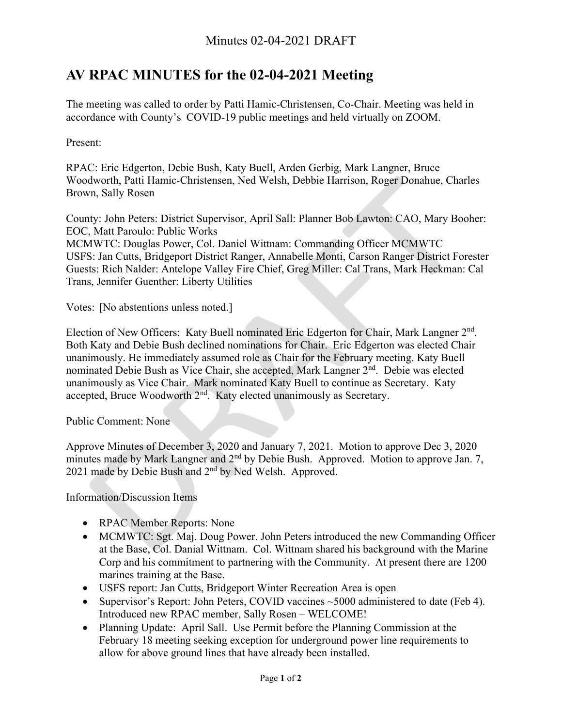## **AV RPAC MINUTES for the 02-04-2021 Meeting**

The meeting was called to order by Patti Hamic-Christensen, Co-Chair. Meeting was held in accordance with County's COVID-19 public meetings and held virtually on ZOOM.

Present:

RPAC: Eric Edgerton, Debie Bush, Katy Buell, Arden Gerbig, Mark Langner, Bruce Woodworth, Patti Hamic-Christensen, Ned Welsh, Debbie Harrison, Roger Donahue, Charles Brown, Sally Rosen

County: John Peters: District Supervisor, April Sall: Planner Bob Lawton: CAO, Mary Booher: EOC, Matt Paroulo: Public Works

MCMWTC: Douglas Power, Col. Daniel Wittnam: Commanding Officer MCMWTC USFS: Jan Cutts, Bridgeport District Ranger, Annabelle Monti, Carson Ranger District Forester Guests: Rich Nalder: Antelope Valley Fire Chief, Greg Miller: Cal Trans, Mark Heckman: Cal Trans, Jennifer Guenther: Liberty Utilities

Votes: [No abstentions unless noted.]

Election of New Officers: Katy Buell nominated Eric Edgerton for Chair, Mark Langner 2<sup>nd</sup>. Both Katy and Debie Bush declined nominations for Chair. Eric Edgerton was elected Chair unanimously. He immediately assumed role as Chair for the February meeting. Katy Buell nominated Debie Bush as Vice Chair, she accepted, Mark Langner 2<sup>nd</sup>. Debie was elected unanimously as Vice Chair. Mark nominated Katy Buell to continue as Secretary. Katy accepted, Bruce Woodworth 2nd. Katy elected unanimously as Secretary.

Public Comment: None

Approve Minutes of December 3, 2020 and January 7, 2021. Motion to approve Dec 3, 2020 minutes made by Mark Langner and 2<sup>nd</sup> by Debie Bush. Approved. Motion to approve Jan. 7, 2021 made by Debie Bush and 2nd by Ned Welsh. Approved.

Information/Discussion Items

- RPAC Member Reports: None
- MCMWTC: Sgt. Maj. Doug Power. John Peters introduced the new Commanding Officer at the Base, Col. Danial Wittnam. Col. Wittnam shared his background with the Marine Corp and his commitment to partnering with the Community. At present there are 1200 marines training at the Base.
- USFS report: Jan Cutts, Bridgeport Winter Recreation Area is open
- Supervisor's Report: John Peters, COVID vaccines ~5000 administered to date (Feb 4). Introduced new RPAC member, Sally Rosen – WELCOME!
- Planning Update: April Sall. Use Permit before the Planning Commission at the February 18 meeting seeking exception for underground power line requirements to allow for above ground lines that have already been installed.